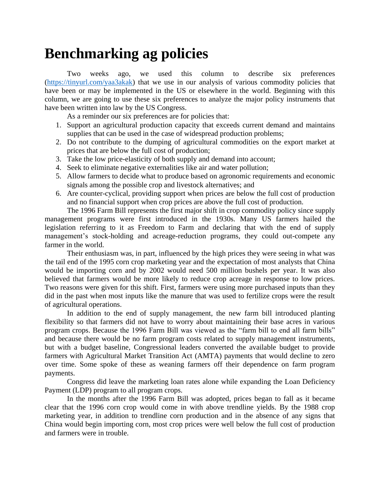## **Benchmarking ag policies**

Two weeks ago, we used this column to describe six preferences [\(https://tinyurl.com/yaa3akak\)](https://tinyurl.com/yaa3akak) that we use in our analysis of various commodity policies that have been or may be implemented in the US or elsewhere in the world. Beginning with this column, we are going to use these six preferences to analyze the major policy instruments that have been written into law by the US Congress.

As a reminder our six preferences are for policies that:

- 1. Support an agricultural production capacity that exceeds current demand and maintains supplies that can be used in the case of widespread production problems;
- 2. Do not contribute to the dumping of agricultural commodities on the export market at prices that are below the full cost of production;
- 3. Take the low price-elasticity of both supply and demand into account;
- 4. Seek to eliminate negative externalities like air and water pollution;
- 5. Allow farmers to decide what to produce based on agronomic requirements and economic signals among the possible crop and livestock alternatives; and
- 6. Are counter-cyclical, providing support when prices are below the full cost of production and no financial support when crop prices are above the full cost of production.

The 1996 Farm Bill represents the first major shift in crop commodity policy since supply management programs were first introduced in the 1930s. Many US farmers hailed the legislation referring to it as Freedom to Farm and declaring that with the end of supply management's stock-holding and acreage-reduction programs, they could out-compete any farmer in the world.

Their enthusiasm was, in part, influenced by the high prices they were seeing in what was the tail end of the 1995 corn crop marketing year and the expectation of most analysts that China would be importing corn and by 2002 would need 500 million bushels per year. It was also believed that farmers would be more likely to reduce crop acreage in response to low prices. Two reasons were given for this shift. First, farmers were using more purchased inputs than they did in the past when most inputs like the manure that was used to fertilize crops were the result of agricultural operations.

In addition to the end of supply management, the new farm bill introduced planting flexibility so that farmers did not have to worry about maintaining their base acres in various program crops. Because the 1996 Farm Bill was viewed as the "farm bill to end all farm bills" and because there would be no farm program costs related to supply management instruments, but with a budget baseline, Congressional leaders converted the available budget to provide farmers with Agricultural Market Transition Act (AMTA) payments that would decline to zero over time. Some spoke of these as weaning farmers off their dependence on farm program payments.

Congress did leave the marketing loan rates alone while expanding the Loan Deficiency Payment (LDP) program to all program crops.

In the months after the 1996 Farm Bill was adopted, prices began to fall as it became clear that the 1996 corn crop would come in with above trendline yields. By the 1988 crop marketing year, in addition to trendline corn production and in the absence of any signs that China would begin importing corn, most crop prices were well below the full cost of production and farmers were in trouble.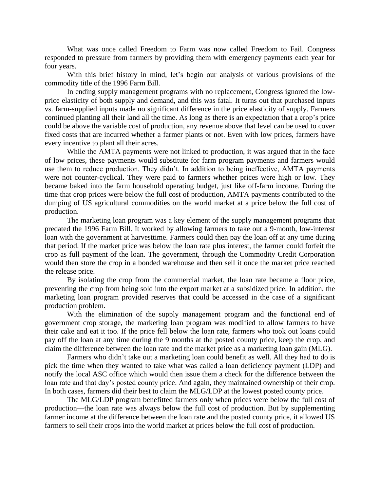What was once called Freedom to Farm was now called Freedom to Fail. Congress responded to pressure from farmers by providing them with emergency payments each year for four years.

With this brief history in mind, let's begin our analysis of various provisions of the commodity title of the 1996 Farm Bill.

In ending supply management programs with no replacement, Congress ignored the lowprice elasticity of both supply and demand, and this was fatal. It turns out that purchased inputs vs. farm-supplied inputs made no significant difference in the price elasticity of supply. Farmers continued planting all their land all the time. As long as there is an expectation that a crop's price could be above the variable cost of production, any revenue above that level can be used to cover fixed costs that are incurred whether a farmer plants or not. Even with low prices, farmers have every incentive to plant all their acres.

While the AMTA payments were not linked to production, it was argued that in the face of low prices, these payments would substitute for farm program payments and farmers would use them to reduce production. They didn't. In addition to being ineffective, AMTA payments were not counter-cyclical. They were paid to farmers whether prices were high or low. They became baked into the farm household operating budget, just like off-farm income. During the time that crop prices were below the full cost of production, AMTA payments contributed to the dumping of US agricultural commodities on the world market at a price below the full cost of production.

The marketing loan program was a key element of the supply management programs that predated the 1996 Farm Bill. It worked by allowing farmers to take out a 9-month, low-interest loan with the government at harvesttime. Farmers could then pay the loan off at any time during that period. If the market price was below the loan rate plus interest, the farmer could forfeit the crop as full payment of the loan. The government, through the Commodity Credit Corporation would then store the crop in a bonded warehouse and then sell it once the market price reached the release price.

By isolating the crop from the commercial market, the loan rate became a floor price, preventing the crop from being sold into the export market at a subsidized price. In addition, the marketing loan program provided reserves that could be accessed in the case of a significant production problem.

With the elimination of the supply management program and the functional end of government crop storage, the marketing loan program was modified to allow farmers to have their cake and eat it too. If the price fell below the loan rate, farmers who took out loans could pay off the loan at any time during the 9 months at the posted county price, keep the crop, and claim the difference between the loan rate and the market price as a marketing loan gain (MLG).

Farmers who didn't take out a marketing loan could benefit as well. All they had to do is pick the time when they wanted to take what was called a loan deficiency payment (LDP) and notify the local ASC office which would then issue them a check for the difference between the loan rate and that day's posted county price. And again, they maintained ownership of their crop. In both cases, farmers did their best to claim the MLG/LDP at the lowest posted county price.

The MLG/LDP program benefitted farmers only when prices were below the full cost of production—the loan rate was always below the full cost of production. But by supplementing farmer income at the difference between the loan rate and the posted county price, it allowed US farmers to sell their crops into the world market at prices below the full cost of production.